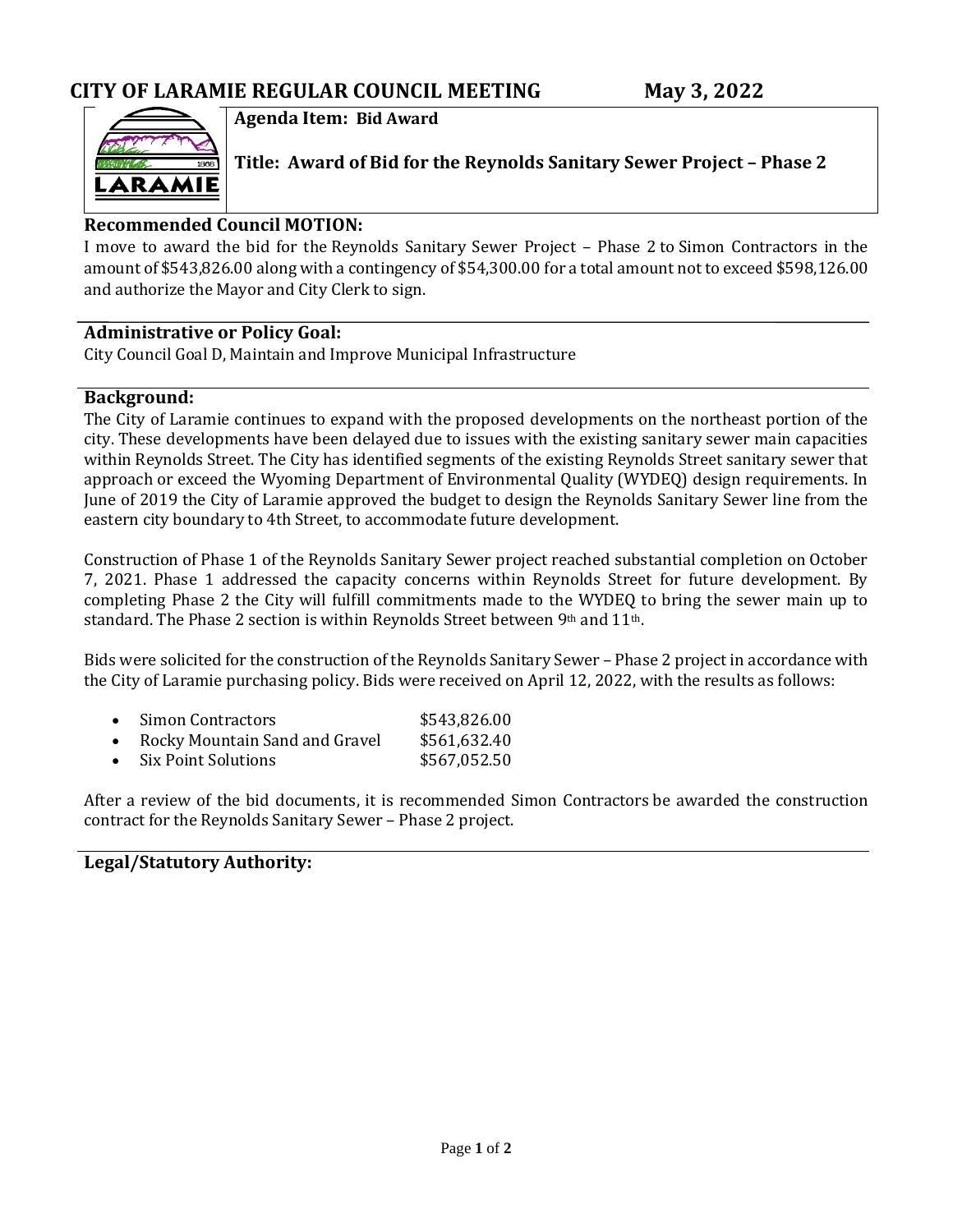

**Agenda Item: Bid Award**

**Title: Award of Bid for the Reynolds Sanitary Sewer Project – Phase 2**

### **Recommended Council MOTION:**

I move to award the bid for the Reynolds Sanitary Sewer Project – Phase 2 to Simon Contractors in the amount of \$543,826.00 along with a contingency of \$54,300.00 for a total amount not to exceed \$598,126.00 and authorize the Mayor and City Clerk to sign.

### **Administrative or Policy Goal:**

City Council Goal D, Maintain and Improve Municipal Infrastructure

### **Background:**

The City of Laramie continues to expand with the proposed developments on the northeast portion of the city. These developments have been delayed due to issues with the existing sanitary sewer main capacities within Reynolds Street. The City has identified segments of the existing Reynolds Street sanitary sewer that approach or exceed the Wyoming Department of Environmental Quality (WYDEQ) design requirements. In June of 2019 the City of Laramie approved the budget to design the Reynolds Sanitary Sewer line from the eastern city boundary to 4th Street, to accommodate future development.

Construction of Phase 1 of the Reynolds Sanitary Sewer project reached substantial completion on October 7, 2021. Phase 1 addressed the capacity concerns within Reynolds Street for future development. By completing Phase 2 the City will fulfill commitments made to the WYDEQ to bring the sewer main up to standard. The Phase 2 section is within Reynolds Street between 9th and 11th.

Bids were solicited for the construction of the Reynolds Sanitary Sewer – Phase 2 project in accordance with the City of Laramie purchasing policy. Bids were received on April 12, 2022, with the results as follows:

| • Simon Contractors              | \$543,826.00 |
|----------------------------------|--------------|
| • Rocky Mountain Sand and Gravel | \$561,632.40 |
| • Six Point Solutions            | \$567,052.50 |

After a review of the bid documents, it is recommended Simon Contractors be awarded the construction contract for the Reynolds Sanitary Sewer – Phase 2 project.

### **Legal/Statutory Authority:**